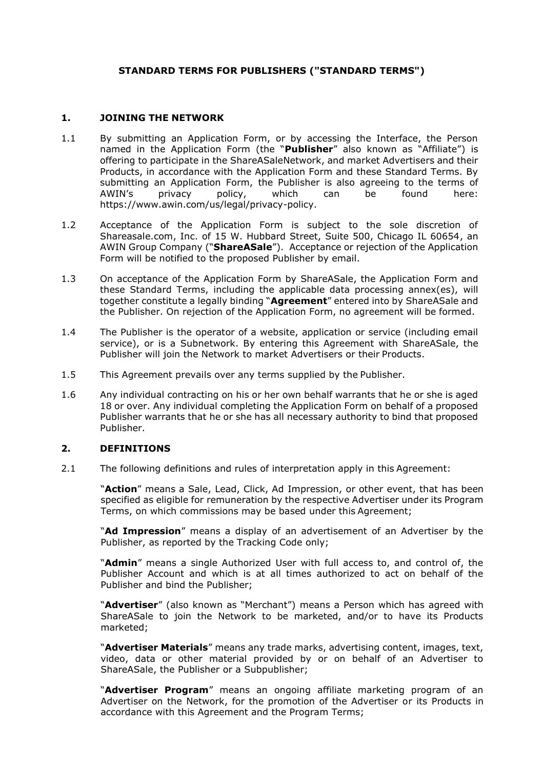# **STANDARD TERMS FOR PUBLISHERS ("STANDARD TERMS")**

#### <span id="page-0-0"></span>**1. JOINING THE NETWORK**

- 1.1 By submitting an Application Form, or by accessing the Interface, the Person named in the Application Form (the "**Publisher**" also known as "Affiliate") is offering to participate in the ShareASaleNetwork, and market Advertisers and their Products, in accordance with the Application Form and these Standard Terms. By submitting an Application Form, the Publisher is also agreeing to the terms of AWIN's privacy policy, which can be found here: https://www.awin.com/us/legal/privacy-policy.
- 1.2 Acceptance of the Application Form is subject to the sole discretion of Shareasale.com, Inc. of 15 W. Hubbard Street, Suite 500, Chicago IL 60654, an AWIN Group Company ("**ShareASale**"). Acceptance or rejection of the Application Form will be notified to the proposed Publisher by email.
- 1.3 On acceptance of the Application Form by ShareASale, the Application Form and these Standard Terms, including the applicable data processing annex(es), will together constitute a legally binding "**Agreement**" entered into by ShareASale and the Publisher. On rejection of the Application Form, no agreement will be formed.
- 1.4 The Publisher is the operator of a website, application or service (including email service), or is a Subnetwork. By entering this Agreement with ShareASale, the Publisher will join the Network to market Advertisers or their Products.
- 1.5 This Agreement prevails over any terms supplied by the Publisher.
- 1.6 Any individual contracting on his or her own behalf warrants that he or she is aged 18 or over. Any individual completing the Application Form on behalf of a proposed Publisher warrants that he or she has all necessary authority to bind that proposed Publisher.

#### <span id="page-0-1"></span>**2. DEFINITIONS**

2.1 The following definitions and rules of interpretation apply in this Agreement:

"**Action**" means a Sale, Lead, Click, Ad Impression, or other event, that has been specified as eligible for remuneration by the respective Advertiser under its Program Terms, on which commissions may be based under this Agreement;

"**Ad Impression**" means a display of an advertisement of an Advertiser by the Publisher, as reported by the Tracking Code only;

"**Admin**" means a single Authorized User with full access to, and control of, the Publisher Account and which is at all times authorized to act on behalf of the Publisher and bind the Publisher;

"**Advertiser**" (also known as "Merchant") means a Person which has agreed with ShareASale to join the Network to be marketed, and/or to have its Products marketed;

"**Advertiser Materials**" means any trade marks, advertising content, images, text, video, data or other material provided by or on behalf of an Advertiser to ShareASale, the Publisher or a Subpublisher;

"**Advertiser Program**" means an ongoing affiliate marketing program of an Advertiser on the Network, for the promotion of the Advertiser or its Products in accordance with this Agreement and the Program Terms;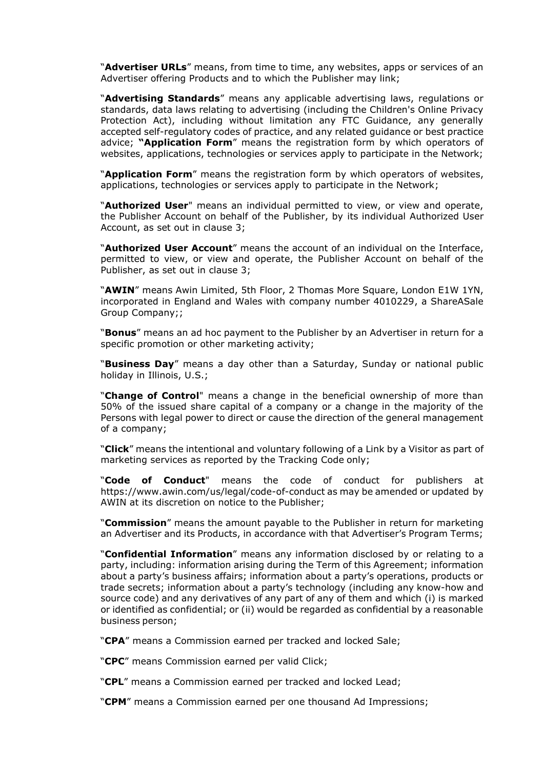"**Advertiser URLs**" means, from time to time, any websites, apps or services of an Advertiser offering Products and to which the Publisher may link;

"**Advertising Standards**" means any applicable advertising laws, regulations or standards, data laws relating to advertising (including the Children's Online Privacy Protection Act), including without limitation any FTC Guidance, any generally accepted self-regulatory codes of practice, and any related guidance or best practice advice; **"Application Form**" means the registration form by which operators of websites, applications, technologies or services apply to participate in the Network;

"**Application Form**" means the registration form by which operators of websites, applications, technologies or services apply to participate in the Network;

"**Authorized User**" means an individual permitted to view, or view and operate, the Publisher Account on behalf of the Publisher, by its individual Authorized User Account, as set out in clause [3;](#page-4-0)

"**Authorized User Account**" means the account of an individual on the Interface, permitted to view, or view and operate, the Publisher Account on behalf of the Publisher, as set out in clause [3;](#page-4-0)

"**AWIN**" means Awin Limited, 5th Floor, 2 Thomas More Square, London E1W 1YN, incorporated in England and Wales with company number 4010229, a ShareASale Group Company;;

"**Bonus**" means an ad hoc payment to the Publisher by an Advertiser in return for a specific promotion or other marketing activity;

"**Business Day**" means a day other than a Saturday, Sunday or national public holiday in Illinois, U.S.;

"**Change of Control**" means a change in the beneficial ownership of more than 50% of the issued share capital of a company or a change in the majority of the Persons with legal power to direct or cause the direction of the general management of a company;

"**Click**" means the intentional and voluntary following of a Link by a Visitor as part of marketing services as reported by the Tracking Code only;

"**Code of Conduct**" means the code of conduct for publishers at https://www.awin.com/us/legal/code-of-conduct as may be amended or updated by AWIN at its discretion on notice to the Publisher;

"**Commission**" means the amount payable to the Publisher in return for marketing an Advertiser and its Products, in accordance with that Advertiser's Program Terms;

"**Confidential Information**" means any information disclosed by or relating to a party, including: information arising during the Term of this Agreement; information about a party's business affairs; information about a party's operations, products or trade secrets; information about a party's technology (including any know-how and source code) and any derivatives of any part of any of them and which (i) is marked or identified as confidential; or (ii) would be regarded as confidential by a reasonable business person;

"**CPA**" means a Commission earned per tracked and locked Sale;

"**CPC**" means Commission earned per valid Click;

"**CPL**" means a Commission earned per tracked and locked Lead;

"**CPM**" means a Commission earned per one thousand Ad Impressions;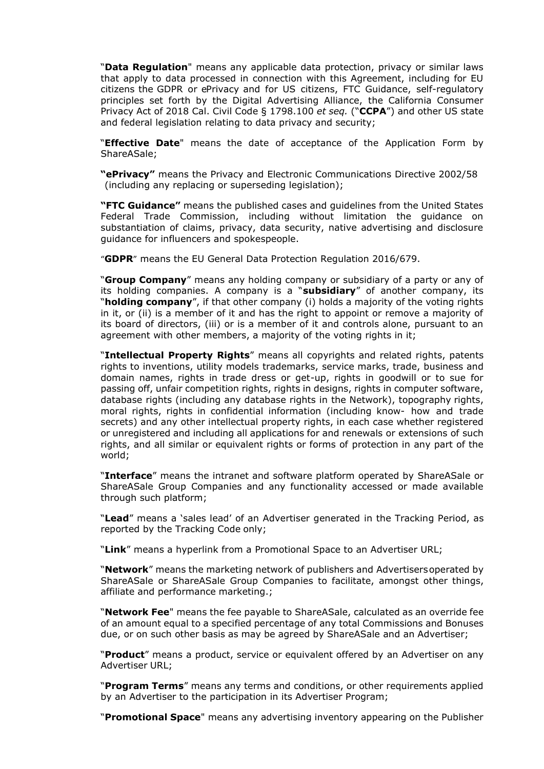"**Data Regulation**" means any applicable data protection, privacy or similar laws that apply to data processed in connection with this Agreement, including for EU citizens the GDPR or ePrivacy and for US citizens, FTC Guidance, self-regulatory principles set forth by the Digital Advertising Alliance, the California Consumer Privacy Act of 2018 Cal. Civil Code § 1798.100 *et seq.* ("**CCPA**") and other US state and federal legislation relating to data privacy and security;

"**Effective Date**" means the date of acceptance of the Application Form by ShareASale;

**"ePrivacy"** means the Privacy and Electronic Communications Directive 2002/58 (including any replacing or superseding legislation);

**"FTC Guidance"** means the published cases and guidelines from the United States Federal Trade Commission, including without limitation the guidance on substantiation of claims, privacy, data security, native advertising and disclosure guidance for influencers and spokespeople.

"**GDPR**" means the EU General Data Protection Regulation 2016/679.

"**Group Company**" means any holding company or subsidiary of a party or any of its holding companies. A company is a "**subsidiary**" of another company, its "**holding company**", if that other company (i) holds a majority of the voting rights in it, or (ii) is a member of it and has the right to appoint or remove a majority of its board of directors, (iii) or is a member of it and controls alone, pursuant to an agreement with other members, a majority of the voting rights in it;

"**Intellectual Property Rights**" means all copyrights and related rights, patents rights to inventions, utility models trademarks, service marks, trade, business and domain names, rights in trade dress or get-up, rights in goodwill or to sue for passing off, unfair competition rights, rights in designs, rights in computer software, database rights (including any database rights in the Network), topography rights, moral rights, rights in confidential information (including know- how and trade secrets) and any other intellectual property rights, in each case whether registered or unregistered and including all applications for and renewals or extensions of such rights, and all similar or equivalent rights or forms of protection in any part of the world;

"**Interface**" means the intranet and software platform operated by ShareASale or ShareASale Group Companies and any functionality accessed or made available through such platform;

"**Lead**" means a 'sales lead' of an Advertiser generated in the Tracking Period, as reported by the Tracking Code only;

"**Link**" means a hyperlink from a Promotional Space to an Advertiser URL;

"**Network**" means the marketing network of publishers and Advertisersoperated by ShareASale or ShareASale Group Companies to facilitate, amongst other things, affiliate and performance marketing.;

"**Network Fee**" means the fee payable to ShareASale, calculated as an override fee of an amount equal to a specified percentage of any total Commissions and Bonuses due, or on such other basis as may be agreed by ShareASale and an Advertiser;

"**Product**" means a product, service or equivalent offered by an Advertiser on any Advertiser URL;

"**Program Terms**" means any terms and conditions, or other requirements applied by an Advertiser to the participation in its Advertiser Program;

"**Promotional Space**" means any advertising inventory appearing on the Publisher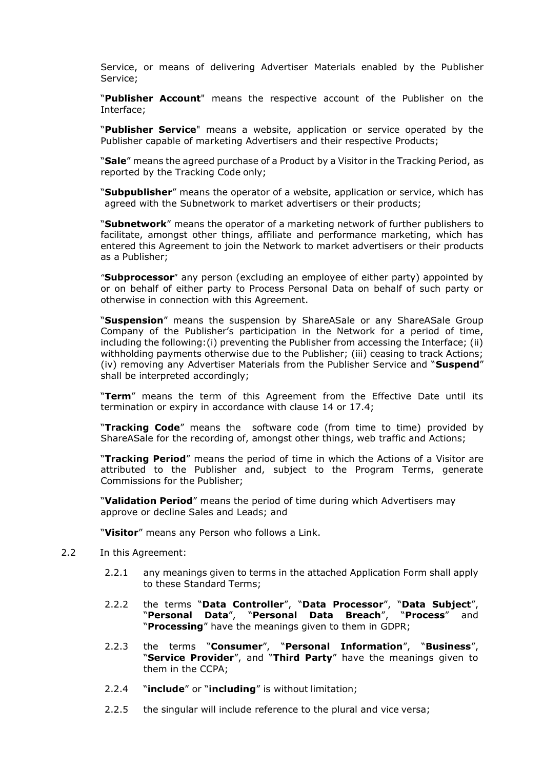Service, or means of delivering Advertiser Materials enabled by the Publisher Service;

"**Publisher Account**" means the respective account of the Publisher on the Interface;

"**Publisher Service**" means a website, application or service operated by the Publisher capable of marketing Advertisers and their respective Products;

"**Sale**" means the agreed purchase of a Product by a Visitor in the Tracking Period, as reported by the Tracking Code only;

"**Subpublisher**" means the operator of a website, application or service, which has agreed with the Subnetwork to market advertisers or their products;

"**Subnetwork**" means the operator of a marketing network of further publishers to facilitate, amongst other things, affiliate and performance marketing, which has entered this Agreement to join the Network to market advertisers or their products as a Publisher;

"**Subprocessor**" any person (excluding an employee of either party) appointed by or on behalf of either party to Process Personal Data on behalf of such party or otherwise in connection with this Agreement.

"**Suspension**" means the suspension by ShareASale or any ShareASale Group Company of the Publisher's participation in the Network for a period of time, including the following:(i) preventing the Publisher from accessing the Interface; (ii) withholding payments otherwise due to the Publisher; (iii) ceasing to track Actions; (iv) removing any Advertiser Materials from the Publisher Service and "**Suspend**" shall be interpreted accordingly;

"**Term**" means the term of this Agreement from the Effective Date until its termination or expiry in accordance with clause [14](#page-11-0) or [17.4;](#page-13-0)

"**Tracking Code**" means the software code (from time to time) provided by ShareASale for the recording of, amongst other things, web traffic and Actions;

"**Tracking Period**" means the period of time in which the Actions of a Visitor are attributed to the Publisher and, subject to the Program Terms, generate Commissions for the Publisher;

"**Validation Period**" means the period of time during which Advertisers may approve or decline Sales and Leads; and

"**Visitor**" means any Person who follows a Link.

- 2.2 In this Agreement:
	- 2.2.1 any meanings given to terms in the attached Application Form shall apply to these Standard Terms;
	- 2.2.2 the terms "**Data Controller**", "**Data Processor**", "**Data Subject**", "**Personal Data**", "**Personal Data Breach**", "**Process**" and "**Processing**" have the meanings given to them in GDPR;
	- 2.2.3 the terms "**Consumer**", "**Personal Information**", "**Business**", "**Service Provider**", and "**Third Party**" have the meanings given to them in the CCPA;
	- 2.2.4 "**include**" or "**including**" is without limitation;
	- 2.2.5 the singular will include reference to the plural and vice versa;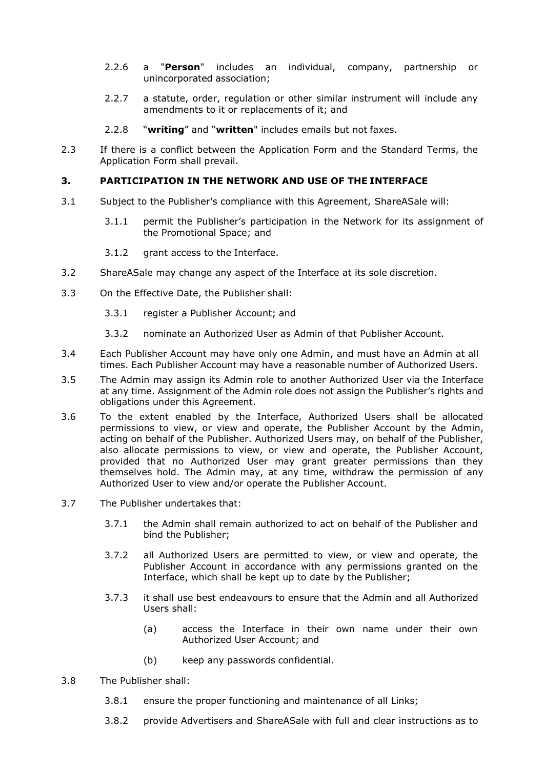- 2.2.6 a "**Person**" includes an individual, company, partnership or unincorporated association;
- 2.2.7 a statute, order, regulation or other similar instrument will include any amendments to it or replacements of it; and

## 2.2.8 "**writing**" and "**written**" includes emails but not faxes.

2.3 If there is a conflict between the Application Form and the Standard Terms, the Application Form shall prevail.

## <span id="page-4-0"></span>**3. PARTICIPATION IN THE NETWORK AND USE OF THE INTERFACE**

- 3.1 Subject to the Publisher's compliance with this Agreement, ShareASale will:
	- 3.1.1 permit the Publisher's participation in the Network for its assignment of the Promotional Space; and
	- 3.1.2 grant access to the Interface.
- 3.2 ShareASale may change any aspect of the Interface at its sole discretion.
- 3.3 On the Effective Date, the Publisher shall:
	- 3.3.1 register a Publisher Account; and
	- 3.3.2 nominate an Authorized User as Admin of that Publisher Account.
- 3.4 Each Publisher Account may have only one Admin, and must have an Admin at all times. Each Publisher Account may have a reasonable number of Authorized Users.
- 3.5 The Admin may assign its Admin role to another Authorized User via the Interface at any time. Assignment of the Admin role does not assign the Publisher's rights and obligations under this Agreement.
- 3.6 To the extent enabled by the Interface, Authorized Users shall be allocated permissions to view, or view and operate, the Publisher Account by the Admin, acting on behalf of the Publisher. Authorized Users may, on behalf of the Publisher, also allocate permissions to view, or view and operate, the Publisher Account, provided that no Authorized User may grant greater permissions than they themselves hold. The Admin may, at any time, withdraw the permission of any Authorized User to view and/or operate the Publisher Account.
- 3.7 The Publisher undertakes that:
	- 3.7.1 the Admin shall remain authorized to act on behalf of the Publisher and bind the Publisher;
	- 3.7.2 all Authorized Users are permitted to view, or view and operate, the Publisher Account in accordance with any permissions granted on the Interface, which shall be kept up to date by the Publisher;
	- 3.7.3 it shall use best endeavours to ensure that the Admin and all Authorized Users shall:
		- (a) access the Interface in their own name under their own Authorized User Account; and
		- (b) keep any passwords confidential.
- 3.8 The Publisher shall:
	- 3.8.1 ensure the proper functioning and maintenance of all Links;
	- 3.8.2 provide Advertisers and ShareASale with full and clear instructions as to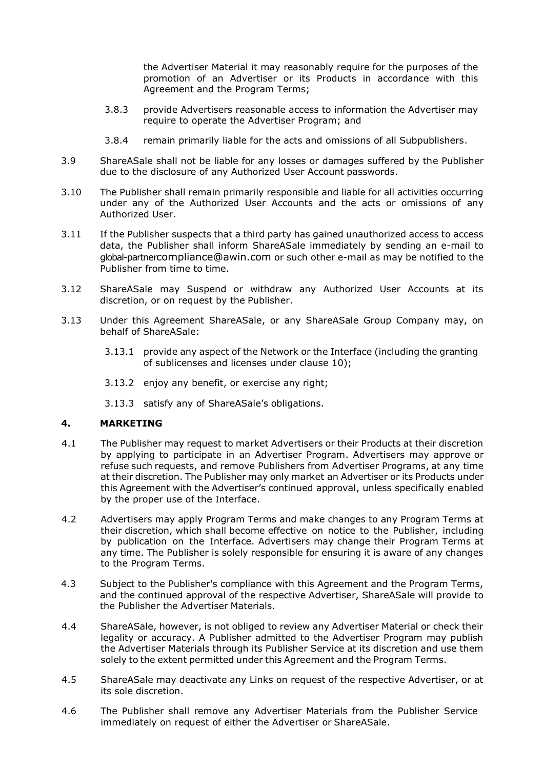the Advertiser Material it may reasonably require for the purposes of the promotion of an Advertiser or its Products in accordance with this Agreement and the Program Terms;

- 3.8.3 provide Advertisers reasonable access to information the Advertiser may require to operate the Advertiser Program; and
- 3.8.4 remain primarily liable for the acts and omissions of all Subpublishers.
- 3.9 ShareASale shall not be liable for any losses or damages suffered by the Publisher due to the disclosure of any Authorized User Account passwords.
- <span id="page-5-0"></span>3.10 The Publisher shall remain primarily responsible and liable for all activities occurring under any of the Authorized User Accounts and the acts or omissions of any Authorized User.
- 3.11 If the Publisher suspects that a third party has gained unauthorized access to access data, the Publisher shall inform ShareASale immediately by sending an e-mail to global-partnercompliance@awin.com or such other e-mail as may be notified to the Publisher from time to time.
- 3.12 ShareASale may Suspend or withdraw any Authorized User Accounts at its discretion, or on request by the Publisher.
- 3.13 Under this Agreement ShareASale, or any ShareASale Group Company may, on behalf of ShareASale:
	- 3.13.1 provide any aspect of the Network or the Interface (including the granting of sublicenses and licenses under clause [10\)](#page-9-0);
	- 3.13.2 enjoy any benefit, or exercise any right;
	- 3.13.3 satisfy any of ShareASale's obligations.

# **4. MARKETING**

- 4.1 The Publisher may request to market Advertisers or their Products at their discretion by applying to participate in an Advertiser Program. Advertisers may approve or refuse such requests, and remove Publishers from Advertiser Programs, at any time at their discretion. The Publisher may only market an Advertiser or its Products under this Agreement with the Advertiser's continued approval, unless specifically enabled by the proper use of the Interface.
- 4.2 Advertisers may apply Program Terms and make changes to any Program Terms at their discretion, which shall become effective on notice to the Publisher, including by publication on the Interface. Advertisers may change their Program Terms at any time. The Publisher is solely responsible for ensuring it is aware of any changes to the Program Terms.
- 4.3 Subject to the Publisher's compliance with this Agreement and the Program Terms, and the continued approval of the respective Advertiser, ShareASale will provide to the Publisher the Advertiser Materials.
- 4.4 ShareASale, however, is not obliged to review any Advertiser Material or check their legality or accuracy. A Publisher admitted to the Advertiser Program may publish the Advertiser Materials through its Publisher Service at its discretion and use them solely to the extent permitted under this Agreement and the Program Terms.
- 4.5 ShareASale may deactivate any Links on request of the respective Advertiser, or at its sole discretion.
- <span id="page-5-1"></span>4.6 The Publisher shall remove any Advertiser Materials from the Publisher Service immediately on request of either the Advertiser or ShareASale.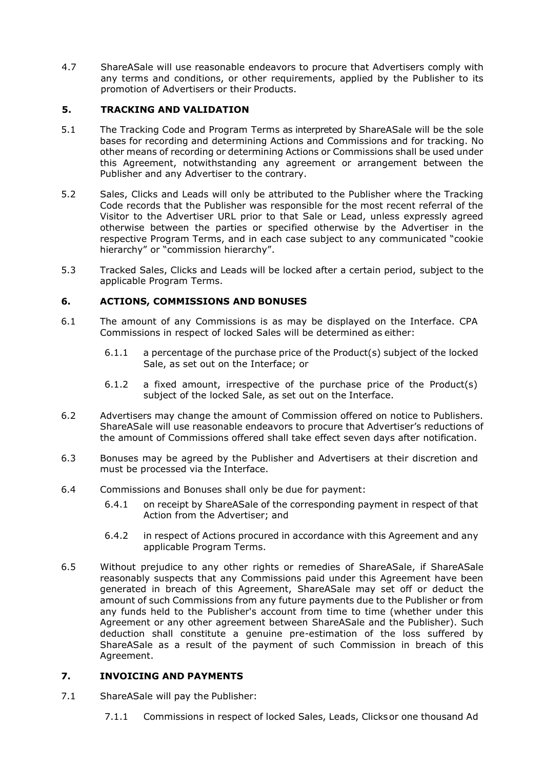4.7 ShareASale will use reasonable endeavors to procure that Advertisers comply with any terms and conditions, or other requirements, applied by the Publisher to its promotion of Advertisers or their Products.

# <span id="page-6-0"></span>**5. TRACKING AND VALIDATION**

- 5.1 The Tracking Code and Program Terms as interpreted by ShareASale will be the sole bases for recording and determining Actions and Commissions and for tracking. No other means of recording or determining Actions or Commissions shall be used under this Agreement, notwithstanding any agreement or arrangement between the Publisher and any Advertiser to the contrary.
- 5.2 Sales, Clicks and Leads will only be attributed to the Publisher where the Tracking Code records that the Publisher was responsible for the most recent referral of the Visitor to the Advertiser URL prior to that Sale or Lead, unless expressly agreed otherwise between the parties or specified otherwise by the Advertiser in the respective Program Terms, and in each case subject to any communicated "cookie hierarchy" or "commission hierarchy".
- 5.3 Tracked Sales, Clicks and Leads will be locked after a certain period, subject to the applicable Program Terms.

## <span id="page-6-1"></span>**6. ACTIONS, COMMISSIONS AND BONUSES**

- 6.1 The amount of any Commissions is as may be displayed on the Interface. CPA Commissions in respect of locked Sales will be determined as either:
	- 6.1.1 a percentage of the purchase price of the Product(s) subject of the locked Sale, as set out on the Interface; or
	- 6.1.2 a fixed amount, irrespective of the purchase price of the Product(s) subject of the locked Sale, as set out on the Interface.
- 6.2 Advertisers may change the amount of Commission offered on notice to Publishers. ShareASale will use reasonable endeavors to procure that Advertiser's reductions of the amount of Commissions offered shall take effect seven days after notification.
- 6.3 Bonuses may be agreed by the Publisher and Advertisers at their discretion and must be processed via the Interface.
- 6.4 Commissions and Bonuses shall only be due for payment:
	- 6.4.1 on receipt by ShareASale of the corresponding payment in respect of that Action from the Advertiser; and
	- 6.4.2 in respect of Actions procured in accordance with this Agreement and any applicable Program Terms.
- 6.5 Without prejudice to any other rights or remedies of ShareASale, if ShareASale reasonably suspects that any Commissions paid under this Agreement have been generated in breach of this Agreement, ShareASale may set off or deduct the amount of such Commissions from any future payments due to the Publisher or from any funds held to the Publisher's account from time to time (whether under this Agreement or any other agreement between ShareASale and the Publisher). Such deduction shall constitute a genuine pre-estimation of the loss suffered by ShareASale as a result of the payment of such Commission in breach of this Agreement.

# <span id="page-6-2"></span>**7. INVOICING AND PAYMENTS**

- 7.1 ShareASale will pay the Publisher:
	- 7.1.1 Commissions in respect of locked Sales, Leads, Clicksor one thousand Ad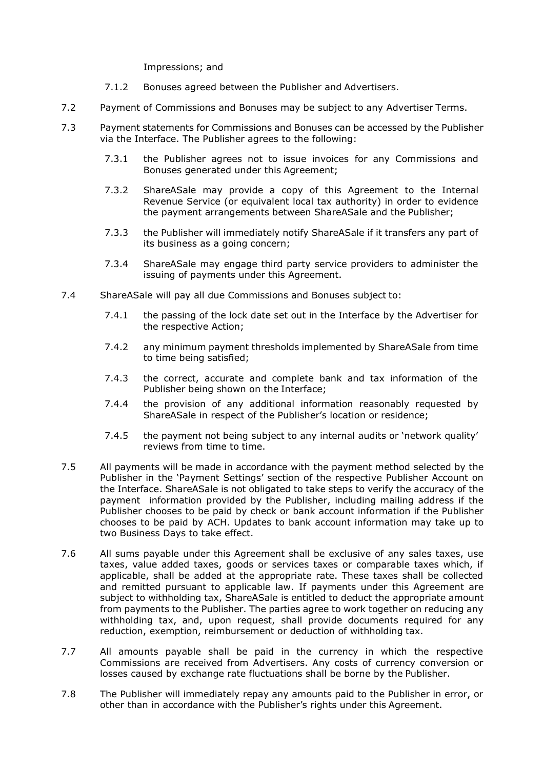<span id="page-7-0"></span>Impressions; and

- 7.1.2 Bonuses agreed between the Publisher and Advertisers.
- 7.2 Payment of Commissions and Bonuses may be subject to any Advertiser Terms.
- 7.3 Payment statements for Commissions and Bonuses can be accessed by the Publisher via the Interface. The Publisher agrees to the following:
	- 7.3.1 the Publisher agrees not to issue invoices for any Commissions and Bonuses generated under this Agreement;
	- 7.3.2 ShareASale may provide a copy of this Agreement to the Internal Revenue Service (or equivalent local tax authority) in order to evidence the payment arrangements between ShareASale and the Publisher;
	- 7.3.3 the Publisher will immediately notify ShareASale if it transfers any part of its business as a going concern;
	- 7.3.4 ShareASale may engage third party service providers to administer the issuing of payments under this Agreement.
- 7.4 ShareASale will pay all due Commissions and Bonuses subject to:
	- 7.4.1 the passing of the lock date set out in the Interface by the Advertiser for the respective Action;
	- 7.4.2 any minimum payment thresholds implemented by ShareASale from time to time being satisfied;
	- 7.4.3 the correct, accurate and complete bank and tax information of the Publisher being shown on the Interface;
	- 7.4.4 the provision of any additional information reasonably requested by ShareASale in respect of the Publisher's location or residence;
	- 7.4.5 the payment not being subject to any internal audits or 'network quality' reviews from time to time.
- 7.5 All payments will be made in accordance with the payment method selected by the Publisher in the 'Payment Settings' section of the respective Publisher Account on the Interface. ShareASale is not obligated to take steps to verify the accuracy of the payment information provided by the Publisher, including mailing address if the Publisher chooses to be paid by check or bank account information if the Publisher chooses to be paid by ACH. Updates to bank account information may take up to two Business Days to take effect.
- 7.6 All sums payable under this Agreement shall be exclusive of any sales taxes, use taxes, value added taxes, goods or services taxes or comparable taxes which, if applicable, shall be added at the appropriate rate. These taxes shall be collected and remitted pursuant to applicable law. If payments under this Agreement are subject to withholding tax, ShareASale is entitled to deduct the appropriate amount from payments to the Publisher. The parties agree to work together on reducing any withholding tax, and, upon request, shall provide documents required for any reduction, exemption, reimbursement or deduction of withholding tax.
- 7.7 All amounts payable shall be paid in the currency in which the respective Commissions are received from Advertisers. Any costs of currency conversion or losses caused by exchange rate fluctuations shall be borne by the Publisher.
- <span id="page-7-1"></span>7.8 The Publisher will immediately repay any amounts paid to the Publisher in error, or other than in accordance with the Publisher's rights under this Agreement.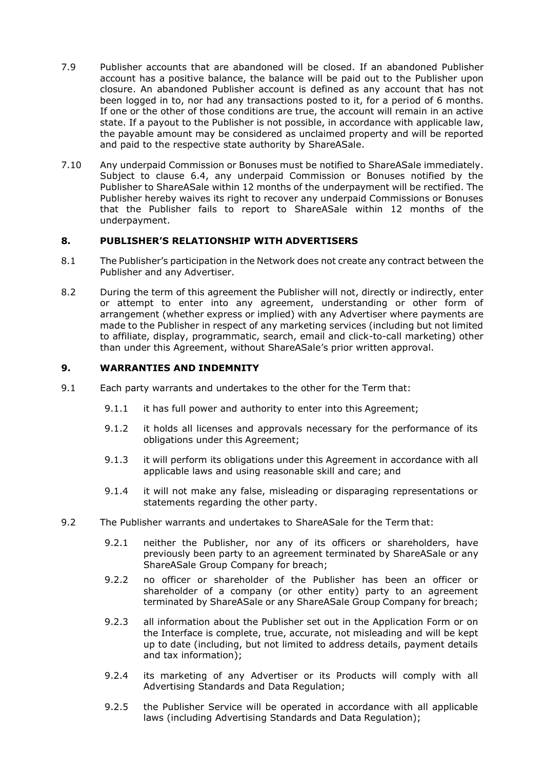- 7.9 Publisher accounts that are abandoned will be closed. If an abandoned Publisher account has a positive balance, the balance will be paid out to the Publisher upon closure. An abandoned Publisher account is defined as any account that has not been logged in to, nor had any transactions posted to it, for a period of 6 months. If one or the other of those conditions are true, the account will remain in an active state. If a payout to the Publisher is not possible, in accordance with applicable law, the payable amount may be considered as unclaimed property and will be reported and paid to the respective state authority by ShareASale.
- 7.10 Any underpaid Commission or Bonuses must be notified to ShareASale immediately. Subject to clause 6.4, any underpaid Commission or Bonuses notified by the Publisher to ShareASale within 12 months of the underpayment will be rectified. The Publisher hereby waives its right to recover any underpaid Commissions or Bonuses that the Publisher fails to report to ShareASale within 12 months of the underpayment.

# **8. PUBLISHER'S RELATIONSHIP WITH ADVERTISERS**

- 8.1 The Publisher's participation in the Network does not create any contract between the Publisher and any Advertiser.
- 8.2 During the term of this agreement the Publisher will not, directly or indirectly, enter or attempt to enter into any agreement, understanding or other form of arrangement (whether express or implied) with any Advertiser where payments are made to the Publisher in respect of any marketing services (including but not limited to affiliate, display, programmatic, search, email and click-to-call marketing) other than under this Agreement, without ShareASale's prior written approval.

## **9. WARRANTIES AND INDEMNITY**

- <span id="page-8-0"></span>9.1 Each party warrants and undertakes to the other for the Term that:
	- 9.1.1 it has full power and authority to enter into this Agreement;
	- 9.1.2 it holds all licenses and approvals necessary for the performance of its obligations under this Agreement;
	- 9.1.3 it will perform its obligations under this Agreement in accordance with all applicable laws and using reasonable skill and care; and
	- 9.1.4 it will not make any false, misleading or disparaging representations or statements regarding the other party.
- <span id="page-8-1"></span>9.2 The Publisher warrants and undertakes to ShareASale for the Term that:
	- 9.2.1 neither the Publisher, nor any of its officers or shareholders, have previously been party to an agreement terminated by ShareASale or any ShareASale Group Company for breach;
	- 9.2.2 no officer or shareholder of the Publisher has been an officer or shareholder of a company (or other entity) party to an agreement terminated by ShareASale or any ShareASale Group Company for breach;
	- 9.2.3 all information about the Publisher set out in the Application Form or on the Interface is complete, true, accurate, not misleading and will be kept up to date (including, but not limited to address details, payment details and tax information);
	- 9.2.4 its marketing of any Advertiser or its Products will comply with all Advertising Standards and Data Regulation;
	- 9.2.5 the Publisher Service will be operated in accordance with all applicable laws (including Advertising Standards and Data Regulation);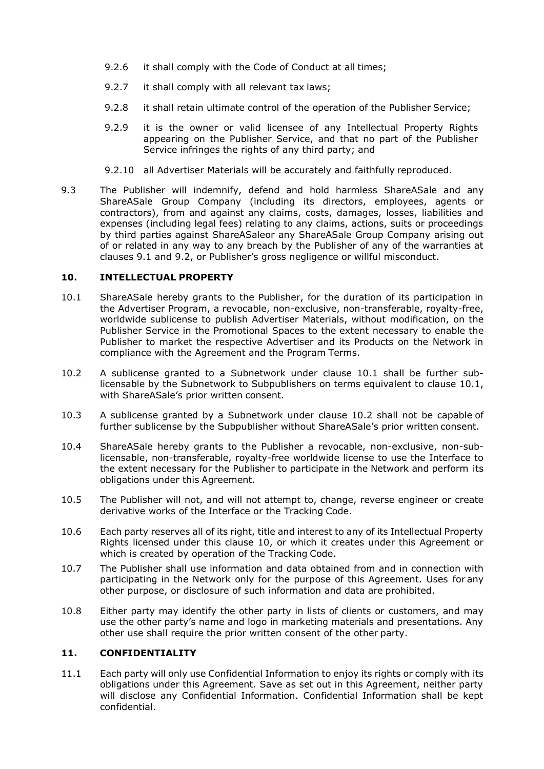- 9.2.6 it shall comply with the Code of Conduct at all times;
- 9.2.7 it shall comply with all relevant tax laws;
- 9.2.8 it shall retain ultimate control of the operation of the Publisher Service;
- 9.2.9 it is the owner or valid licensee of any Intellectual Property Rights appearing on the Publisher Service, and that no part of the Publisher Service infringes the rights of any third party; and
- 9.2.10 all Advertiser Materials will be accurately and faithfully reproduced.
- 9.3 The Publisher will indemnify, defend and hold harmless ShareASale and any ShareASale Group Company (including its directors, employees, agents or contractors), from and against any claims, costs, damages, losses, liabilities and expenses (including legal fees) relating to any claims, actions, suits or proceedings by third parties against ShareASaleor any ShareASale Group Company arising out of or related in any way to any breach by the Publisher of any of the warranties at clauses [9.1](#page-8-0) and [9.2](#page-8-1), or Publisher's gross negligence or willful misconduct.

## <span id="page-9-0"></span>**10. INTELLECTUAL PROPERTY**

- <span id="page-9-1"></span>10.1 ShareASale hereby grants to the Publisher, for the duration of its participation in the Advertiser Program, a revocable, non-exclusive, non-transferable, royalty-free, worldwide sublicense to publish Advertiser Materials, without modification, on the Publisher Service in the Promotional Spaces to the extent necessary to enable the Publisher to market the respective Advertiser and its Products on the Network in compliance with the Agreement and the Program Terms.
- <span id="page-9-2"></span>10.2 A sublicense granted to a Subnetwork under clause [10.1](#page-9-1) shall be further sublicensable by the Subnetwork to Subpublishers on terms equivalent to clause [10.1,](#page-9-1) with ShareASale's prior written consent.
- 10.3 A sublicense granted by a Subnetwork under clause [10.2](#page-9-2) shall not be capable of further sublicense by the Subpublisher without ShareASale's prior written consent.
- 10.4 ShareASale hereby grants to the Publisher a revocable, non-exclusive, non-sublicensable, non-transferable, royalty-free worldwide license to use the Interface to the extent necessary for the Publisher to participate in the Network and perform its obligations under this Agreement.
- <span id="page-9-3"></span>10.5 The Publisher will not, and will not attempt to, change, reverse engineer or create derivative works of the Interface or the Tracking Code.
- <span id="page-9-4"></span>10.6 Each party reserves all of its right, title and interest to any of its Intellectual Property Rights licensed under this clause [10,](#page-9-0) or which it creates under this Agreement or which is created by operation of the Tracking Code.
- 10.7 The Publisher shall use information and data obtained from and in connection with participating in the Network only for the purpose of this Agreement. Uses for any other purpose, or disclosure of such information and data are prohibited.
- 10.8 Either party may identify the other party in lists of clients or customers, and may use the other party's name and logo in marketing materials and presentations. Any other use shall require the prior written consent of the other party.

## <span id="page-9-5"></span>**11. CONFIDENTIALITY**

11.1 Each party will only use Confidential Information to enjoy its rights or comply with its obligations under this Agreement. Save as set out in this Agreement, neither party will disclose any Confidential Information. Confidential Information shall be kept confidential.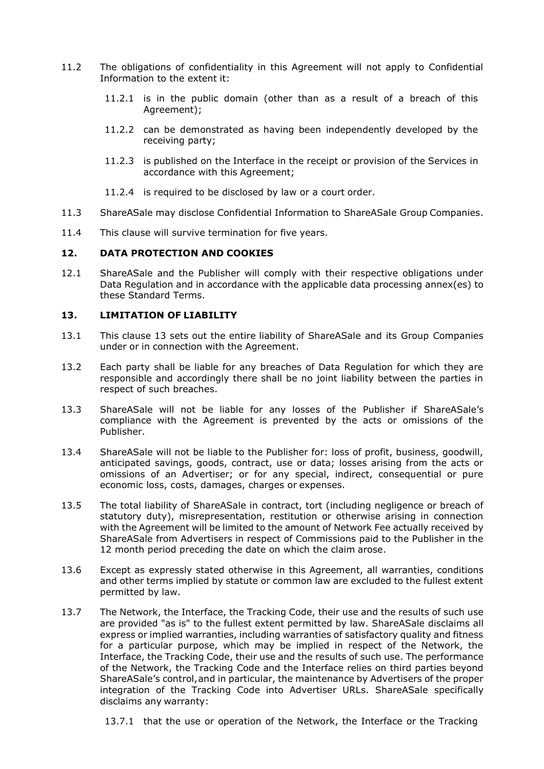- 11.2 The obligations of confidentiality in this Agreement will not apply to Confidential Information to the extent it:
	- 11.2.1 is in the public domain (other than as a result of a breach of this Agreement);
	- 11.2.2 can be demonstrated as having been independently developed by the receiving party;
	- 11.2.3 is published on the Interface in the receipt or provision of the Services in accordance with this Agreement;
	- 11.2.4 is required to be disclosed by law or a court order.
- 11.3 ShareASale may disclose Confidential Information to ShareASale Group Companies.
- 11.4 This clause will survive termination for five years.

#### <span id="page-10-1"></span>**12. DATA PROTECTION AND COOKIES**

12.1 ShareASale and the Publisher will comply with their respective obligations under Data Regulation and in accordance with the applicable data processing annex(es) to these Standard Terms.

#### <span id="page-10-0"></span>**13. LIMITATION OF LIABILITY**

- 13.1 This clause [13](#page-10-0) sets out the entire liability of ShareASale and its Group Companies under or in connection with the Agreement.
- 13.2 Each party shall be liable for any breaches of Data Regulation for which they are responsible and accordingly there shall be no joint liability between the parties in respect of such breaches.
- 13.3 ShareASale will not be liable for any losses of the Publisher if ShareASale's compliance with the Agreement is prevented by the acts or omissions of the Publisher.
- 13.4 ShareASale will not be liable to the Publisher for: loss of profit, business, goodwill, anticipated savings, goods, contract, use or data; losses arising from the acts or omissions of an Advertiser; or for any special, indirect, consequential or pure economic loss, costs, damages, charges or expenses.
- 13.5 The total liability of ShareASale in contract, tort (including negligence or breach of statutory duty), misrepresentation, restitution or otherwise arising in connection with the Agreement will be limited to the amount of Network Fee actually received by ShareASale from Advertisers in respect of Commissions paid to the Publisher in the 12 month period preceding the date on which the claim arose.
- 13.6 Except as expressly stated otherwise in this Agreement, all warranties, conditions and other terms implied by statute or common law are excluded to the fullest extent permitted by law.
- 13.7 The Network, the Interface, the Tracking Code, their use and the results of such use are provided "as is" to the fullest extent permitted by law. ShareASale disclaims all express or implied warranties, including warranties of satisfactory quality and fitness for a particular purpose, which may be implied in respect of the Network, the Interface, the Tracking Code, their use and the results of such use. The performance of the Network, the Tracking Code and the Interface relies on third parties beyond ShareASale's control,and in particular, the maintenance by Advertisers of the proper integration of the Tracking Code into Advertiser URLs. ShareASale specifically disclaims any warranty:

13.7.1 that the use or operation of the Network, the Interface or the Tracking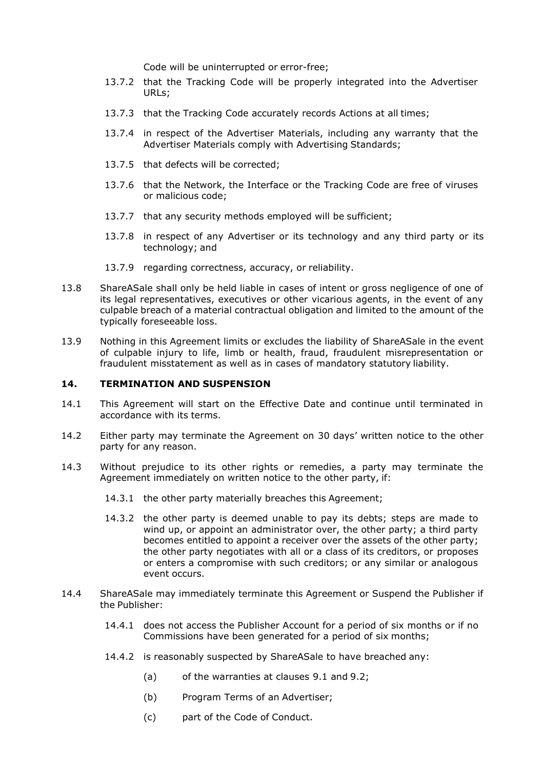Code will be uninterrupted or error-free;

- 13.7.2 that the Tracking Code will be properly integrated into the Advertiser URLs;
- 13.7.3 that the Tracking Code accurately records Actions at all times;
- 13.7.4 in respect of the Advertiser Materials, including any warranty that the Advertiser Materials comply with Advertising Standards;
- 13.7.5 that defects will be corrected;
- 13.7.6 that the Network, the Interface or the Tracking Code are free of viruses or malicious code;
- 13.7.7 that any security methods employed will be sufficient;
- 13.7.8 in respect of any Advertiser or its technology and any third party or its technology; and
- 13.7.9 regarding correctness, accuracy, or reliability.
- 13.8 ShareASale shall only be held liable in cases of intent or gross negligence of one of its legal representatives, executives or other vicarious agents, in the event of any culpable breach of a material contractual obligation and limited to the amount of the typically foreseeable loss.
- 13.9 Nothing in this Agreement limits or excludes the liability of ShareASale in the event of culpable injury to life, limb or health, fraud, fraudulent misrepresentation or fraudulent misstatement as well as in cases of mandatory statutory liability.

#### <span id="page-11-0"></span>**14. TERMINATION AND SUSPENSION**

- 14.1 This Agreement will start on the Effective Date and continue until terminated in accordance with its terms.
- 14.2 Either party may terminate the Agreement on 30 days' written notice to the other party for any reason.
- <span id="page-11-1"></span>14.3 Without prejudice to its other rights or remedies, a party may terminate the Agreement immediately on written notice to the other party, if:
	- 14.3.1 the other party materially breaches this Agreement;
	- 14.3.2 the other party is deemed unable to pay its debts; steps are made to wind up, or appoint an administrator over, the other party; a third party becomes entitled to appoint a receiver over the assets of the other party; the other party negotiates with all or a class of its creditors, or proposes or enters a compromise with such creditors; or any similar or analogous event occurs.
- <span id="page-11-2"></span>14.4 ShareASale may immediately terminate this Agreement or Suspend the Publisher if the Publisher:
	- 14.4.1 does not access the Publisher Account for a period of six months or if no Commissions have been generated for a period of six months;
	- 14.4.2 is reasonably suspected by ShareASale to have breached any:
		- (a) of the warranties at clauses [9.1](#page-8-0) and [9.2;](#page-8-1)
		- (b) Program Terms of an Advertiser;
		- (c) part of the Code of Conduct.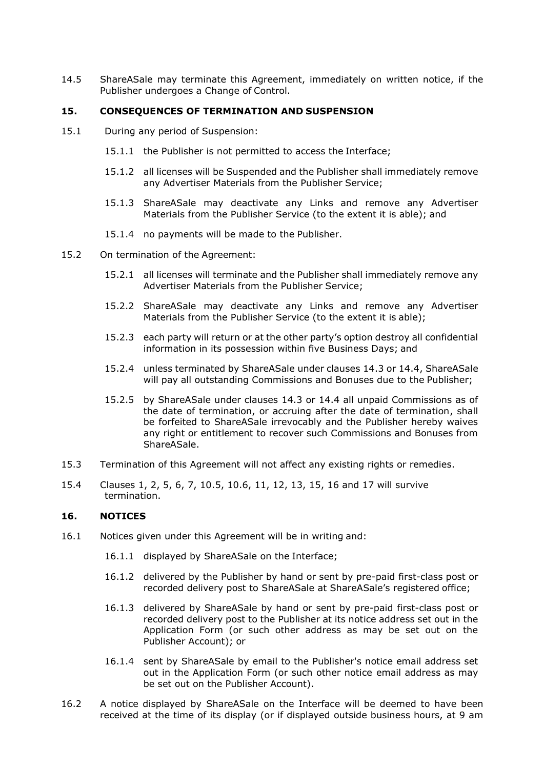14.5 ShareASale may terminate this Agreement, immediately on written notice, if the Publisher undergoes a Change of Control.

#### <span id="page-12-0"></span>**15. CONSEQUENCES OF TERMINATION AND SUSPENSION**

- <span id="page-12-2"></span>15.1 During any period of Suspension:
	- 15.1.1 the Publisher is not permitted to access the Interface;
	- 15.1.2 all licenses will be Suspended and the Publisher shall immediately remove any Advertiser Materials from the Publisher Service;
	- 15.1.3 ShareASale may deactivate any Links and remove any Advertiser Materials from the Publisher Service (to the extent it is able); and
	- 15.1.4 no payments will be made to the Publisher.
- <span id="page-12-3"></span>15.2 On termination of the Agreement:
	- 15.2.1 all licenses will terminate and the Publisher shall immediately remove any Advertiser Materials from the Publisher Service;
	- 15.2.2 ShareASale may deactivate any Links and remove any Advertiser Materials from the Publisher Service (to the extent it is able);
	- 15.2.3 each party will return or at the other party's option destroy all confidential information in its possession within five Business Days; and
	- 15.2.4 unless terminated by ShareASale under clauses [14.3](#page-11-1) or [14.4,](#page-11-2) ShareASale will pay all outstanding Commissions and Bonuses due to the Publisher;
	- 15.2.5 by ShareASale under clauses [14.3](#page-11-1) or [14.4](#page-11-2) all unpaid Commissions as of the date of termination, or accruing after the date of termination, shall be forfeited to ShareASale irrevocably and the Publisher hereby waives any right or entitlement to recover such Commissions and Bonuses from ShareASale.
- 15.3 Termination of this Agreement will not affect any existing rights or remedies.
- 15.4 Clauses [1,](#page-0-0) [2,](#page-0-1) [5,](#page-6-0) [6,](#page-6-1) [7,](#page-6-2) [10.5,](#page-9-3) [10.6,](#page-9-4) [11,](#page-9-5) [12,](#page-10-1) [13,](#page-10-0) [15,](#page-12-0) [16](#page-12-1) and [17](#page-13-1) will survive termination.

#### <span id="page-12-1"></span>**16. NOTICES**

- 16.1 Notices given under this Agreement will be in writing and:
	- 16.1.1 displayed by ShareASale on the Interface;
	- 16.1.2 delivered by the Publisher by hand or sent by pre-paid first-class post or recorded delivery post to ShareASale at ShareASale's registered office;
	- 16.1.3 delivered by ShareASale by hand or sent by pre-paid first-class post or recorded delivery post to the Publisher at its notice address set out in the Application Form (or such other address as may be set out on the Publisher Account); or
	- 16.1.4 sent by ShareASale by email to the Publisher's notice email address set out in the Application Form (or such other notice email address as may be set out on the Publisher Account).
- 16.2 A notice displayed by ShareASale on the Interface will be deemed to have been received at the time of its display (or if displayed outside business hours, at 9 am